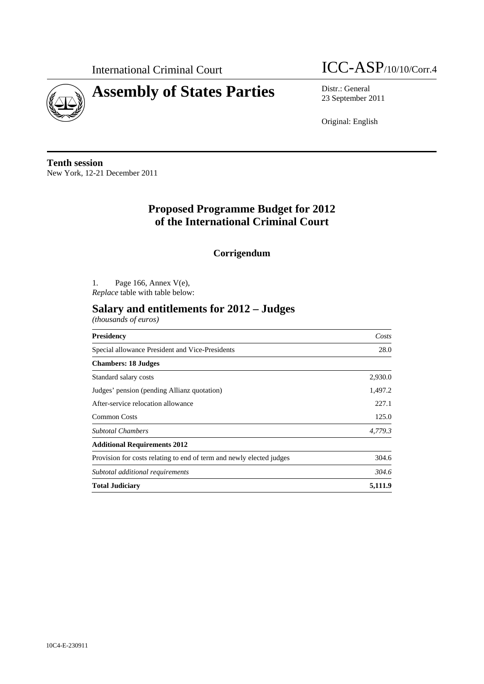



23 September 2011

Original: English

**Tenth session**  New York, 12-21 December 2011

## **Proposed Programme Budget for 2012 of the International Criminal Court**

**Corrigendum** 

1. Page 166, Annex V(e), *Replace* table with table below:

## **Salary and entitlements for 2012 – Judges**

*(thousands of euros)* 

| Presidency                                                           | Costs<br>28.0 |  |
|----------------------------------------------------------------------|---------------|--|
| Special allowance President and Vice-Presidents                      |               |  |
| <b>Chambers: 18 Judges</b>                                           |               |  |
| Standard salary costs                                                | 2,930.0       |  |
| Judges' pension (pending Allianz quotation)                          | 1,497.2       |  |
| After-service relocation allowance                                   | 227.1         |  |
| <b>Common Costs</b>                                                  | 125.0         |  |
| <b>Subtotal Chambers</b>                                             | 4.779.3       |  |
| <b>Additional Requirements 2012</b>                                  |               |  |
| Provision for costs relating to end of term and newly elected judges | 304.6         |  |
| Subtotal additional requirements                                     | 304.6         |  |
| <b>Total Judiciary</b>                                               | 5.111.9       |  |